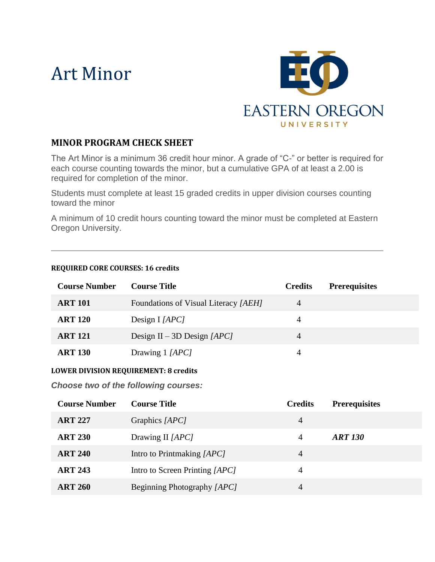# Art Minor



### **MINOR PROGRAM CHECK SHEET**

The Art Minor is a minimum 36 credit hour minor. A grade of "C-" or better is required for each course counting towards the minor, but a cumulative GPA of at least a 2.00 is required for completion of the minor.

Students must complete at least 15 graded credits in upper division courses counting toward the minor

A minimum of 10 credit hours counting toward the minor must be completed at Eastern Oregon University.

#### **REQUIRED CORE COURSES: 16 credits**

| <b>Course Number</b> | <b>Course Title</b>                  | <b>Credits</b> | <b>Prerequisites</b> |
|----------------------|--------------------------------------|----------------|----------------------|
| <b>ART 101</b>       | Foundations of Visual Literacy [AEH] | 4              |                      |
| <b>ART 120</b>       | Design $I$ [APC]                     | 4              |                      |
| <b>ART 121</b>       | Design II – 3D Design $[APC]$        | 4              |                      |
| <b>ART 130</b>       | Drawing 1 [APC]                      | 4              |                      |

#### **LOWER DIVISION REQUIREMENT: 8 credits**

*Choose two of the following courses:*

| <b>Course Number</b> | <b>Course Title</b>            | <b>Credits</b> | <b>Prerequisites</b> |
|----------------------|--------------------------------|----------------|----------------------|
| <b>ART 227</b>       | Graphics [APC]                 | $\overline{4}$ |                      |
| <b>ART 230</b>       | Drawing II [APC]               | $\overline{A}$ | <b>ART 130</b>       |
| <b>ART 240</b>       | Intro to Printmaking [APC]     | $\overline{4}$ |                      |
| <b>ART 243</b>       | Intro to Screen Printing [APC] | 4              |                      |
| <b>ART 260</b>       | Beginning Photography [APC]    | 4              |                      |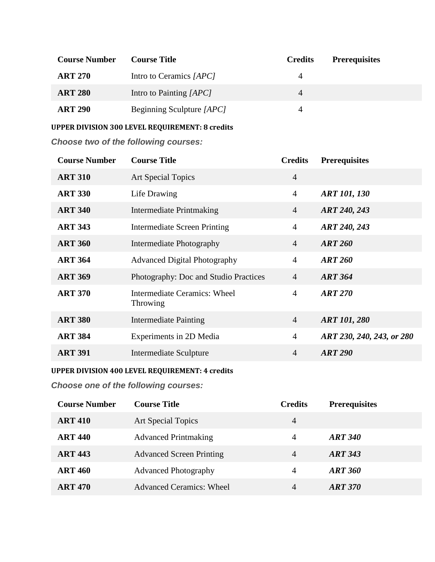| <b>Course Number</b> | <b>Course Title</b>       | <b>Credits</b> | <b>Prerequisites</b> |
|----------------------|---------------------------|----------------|----------------------|
| <b>ART 270</b>       | Intro to Ceramics [APC]   | 4              |                      |
| <b>ART 280</b>       | Intro to Painting [APC]   | 4              |                      |
| <b>ART 290</b>       | Beginning Sculpture [APC] | 4              |                      |

**UPPER DIVISION 300 LEVEL REQUIREMENT: 8 credits**

*Choose two of the following courses:*

| <b>Course Number</b> | <b>Course Title</b>                             | <b>Credits</b> | <b>Prerequisites</b>      |
|----------------------|-------------------------------------------------|----------------|---------------------------|
| <b>ART 310</b>       | <b>Art Special Topics</b>                       | $\overline{4}$ |                           |
| <b>ART 330</b>       | Life Drawing                                    | $\overline{4}$ | <b>ART 101, 130</b>       |
| <b>ART 340</b>       | <b>Intermediate Printmaking</b>                 | $\overline{4}$ | ART 240, 243              |
| <b>ART 343</b>       | <b>Intermediate Screen Printing</b>             | $\overline{4}$ | ART 240, 243              |
| <b>ART 360</b>       | Intermediate Photography                        | $\overline{4}$ | <b>ART 260</b>            |
| <b>ART 364</b>       | <b>Advanced Digital Photography</b>             | $\overline{4}$ | <b>ART 260</b>            |
| <b>ART 369</b>       | Photography: Doc and Studio Practices           | $\overline{4}$ | <b>ART 364</b>            |
| <b>ART 370</b>       | <b>Intermediate Ceramics: Wheel</b><br>Throwing | $\overline{4}$ | <b>ART 270</b>            |
| <b>ART 380</b>       | <b>Intermediate Painting</b>                    | $\overline{4}$ | <b>ART 101, 280</b>       |
| <b>ART 384</b>       | Experiments in 2D Media                         | $\overline{4}$ | ART 230, 240, 243, or 280 |
| <b>ART 391</b>       | <b>Intermediate Sculpture</b>                   | $\overline{4}$ | <b>ART 290</b>            |

**UPPER DIVISION 400 LEVEL REQUIREMENT: 4 credits**

*Choose one of the following courses:*

| <b>Course Number</b> | <b>Course Title</b>             | <b>Credits</b> | <b>Prerequisites</b> |
|----------------------|---------------------------------|----------------|----------------------|
| <b>ART 410</b>       | Art Special Topics              | $\overline{4}$ |                      |
| <b>ART 440</b>       | <b>Advanced Printmaking</b>     | 4              | <b>ART 340</b>       |
| <b>ART 443</b>       | <b>Advanced Screen Printing</b> | 4              | ART 343              |
| <b>ART 460</b>       | <b>Advanced Photography</b>     | 4              | <b>ART 360</b>       |
| <b>ART 470</b>       | <b>Advanced Ceramics: Wheel</b> | 4              | <b>ART 370</b>       |